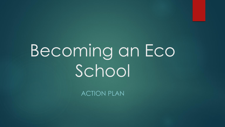# Becoming an Eco School

ACTION PLAN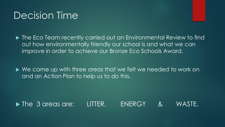#### Decision Time

- The Eco Team recently carried out an Environmental Review to find out how environmentally friendly our school is and what we can improve in order to achieve our Bronze Eco Schools Award.
- ▶ We came up with three areas that we felt we needed to work on and an Action Plan to help us to do this.

The 3 areas are: LITTER, ENERGY & WASTE.

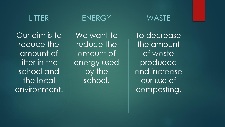#### LITTER

Our aim is to reduce the amount of litter in the school and the local environment.

#### ENERGY

We want to reduce the amount of energy used by the school.

To decrease the amount of waste produced and increase our use of composting.

WASTE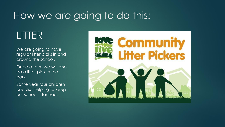## How we are going to do this:

#### LITTER

We are going to have regular litter picks in and around the school.

Once a term we will also do a litter pick in the park.

Some year four children are also helping to keep our school litter-free.

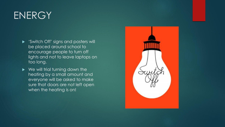#### **ENERGY**

- 'Switch Off' signs and posters will be placed around school to encourage people to turn off lights and not to leave laptops on too long.
- ▶ We will trial turning down the heating by a small amount and everyone will be asked to make sure that doors are not left open when the heating is on!

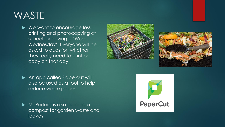## WASTE

▶ We want to encourage less printing and photocopying at school by having a 'Wise Wednesday'. Everyone will be asked to question whether they really need to print or copy on that day.





▶ An app called Papercut will also be used as a tool to help reduce waste paper.

Mr Perfect is also building a compost for garden waste and leaves